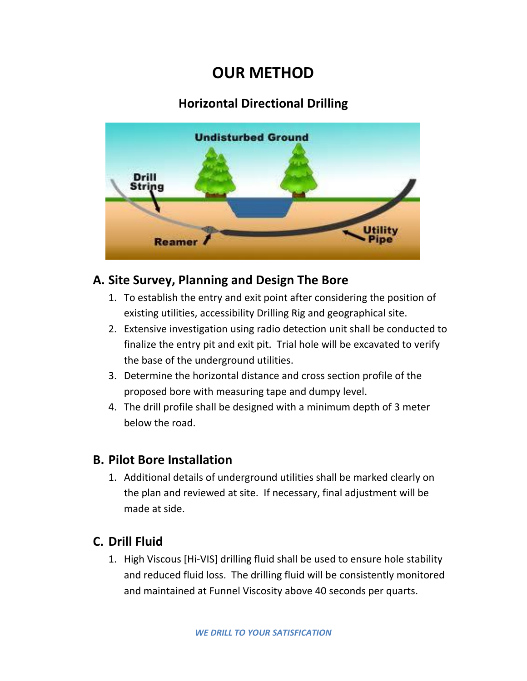# **OUR METHOD**

## **Horizontal Directional Drilling**



## **A. Site Survey, Planning and Design The Bore**

- 1. To establish the entry and exit point after considering the position of existing utilities, accessibility Drilling Rig and geographical site.
- 2. Extensive investigation using radio detection unit shall be conducted to finalize the entry pit and exit pit. Trial hole will be excavated to verify the base of the underground utilities.
- 3. Determine the horizontal distance and cross section profile of the proposed bore with measuring tape and dumpy level.
- 4. The drill profile shall be designed with a minimum depth of 3 meter below the road.

## **B. Pilot Bore Installation**

1. Additional details of underground utilities shall be marked clearly on the plan and reviewed at site. If necessary, final adjustment will be made at side.

## **C. Drill Fluid**

1. High Viscous [Hi-VIS] drilling fluid shall be used to ensure hole stability and reduced fluid loss. The drilling fluid will be consistently monitored and maintained at Funnel Viscosity above 40 seconds per quarts.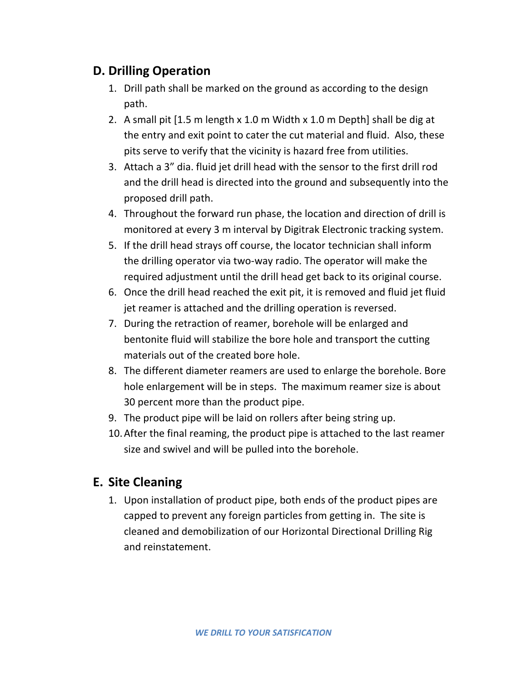## **D. Drilling Operation**

- 1. Drill path shall be marked on the ground as according to the design path.
- 2. A small pit [1.5 m length x 1.0 m Width x 1.0 m Depth] shall be dig at the entry and exit point to cater the cut material and fluid. Also, these pits serve to verify that the vicinity is hazard free from utilities.
- 3. Attach a 3" dia. fluid jet drill head with the sensor to the first drill rod and the drill head is directed into the ground and subsequently into the proposed drill path.
- 4. Throughout the forward run phase, the location and direction of drill is monitored at every 3 m interval by Digitrak Electronic tracking system.
- 5. If the drill head strays off course, the locator technician shall inform the drilling operator via two-way radio. The operator will make the required adjustment until the drill head get back to its original course.
- 6. Once the drill head reached the exit pit, it is removed and fluid jet fluid jet reamer is attached and the drilling operation is reversed.
- 7. During the retraction of reamer, borehole will be enlarged and bentonite fluid will stabilize the bore hole and transport the cutting materials out of the created bore hole.
- 8. The different diameter reamers are used to enlarge the borehole. Bore hole enlargement will be in steps. The maximum reamer size is about 30 percent more than the product pipe.
- 9. The product pipe will be laid on rollers after being string up.
- 10.After the final reaming, the product pipe is attached to the last reamer size and swivel and will be pulled into the borehole.

## **E. Site Cleaning**

1. Upon installation of product pipe, both ends of the product pipes are capped to prevent any foreign particles from getting in. The site is cleaned and demobilization of our Horizontal Directional Drilling Rig and reinstatement.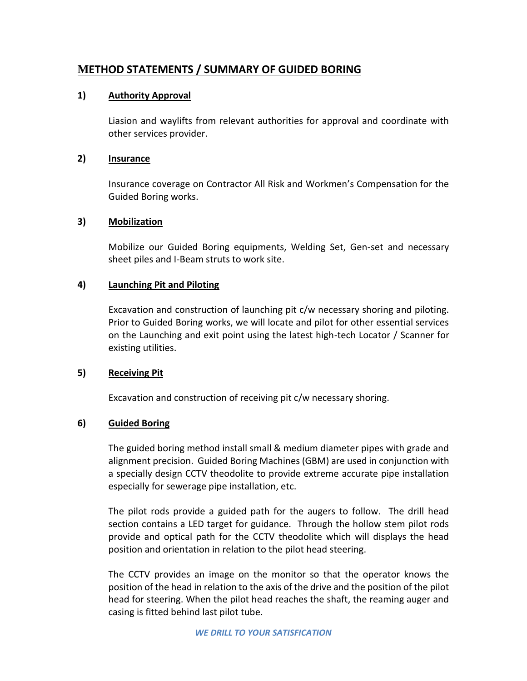### **METHOD STATEMENTS / SUMMARY OF GUIDED BORING**

### **1) Authority Approval**

Liasion and waylifts from relevant authorities for approval and coordinate with other services provider.

#### **2) Insurance**

Insurance coverage on Contractor All Risk and Workmen's Compensation for the Guided Boring works.

### **3) Mobilization**

Mobilize our Guided Boring equipments, Welding Set, Gen-set and necessary sheet piles and I-Beam struts to work site.

#### **4) Launching Pit and Piloting**

Excavation and construction of launching pit c/w necessary shoring and piloting. Prior to Guided Boring works, we will locate and pilot for other essential services on the Launching and exit point using the latest high-tech Locator / Scanner for existing utilities.

### **5) Receiving Pit**

Excavation and construction of receiving pit c/w necessary shoring.

### **6) Guided Boring**

The guided boring method install small & medium diameter pipes with grade and alignment precision. Guided Boring Machines (GBM) are used in conjunction with a specially design CCTV theodolite to provide extreme accurate pipe installation especially for sewerage pipe installation, etc.

The pilot rods provide a guided path for the augers to follow. The drill head section contains a LED target for guidance. Through the hollow stem pilot rods provide and optical path for the CCTV theodolite which will displays the head position and orientation in relation to the pilot head steering.

The CCTV provides an image on the monitor so that the operator knows the position of the head in relation to the axis of the drive and the position of the pilot head for steering. When the pilot head reaches the shaft, the reaming auger and casing is fitted behind last pilot tube.